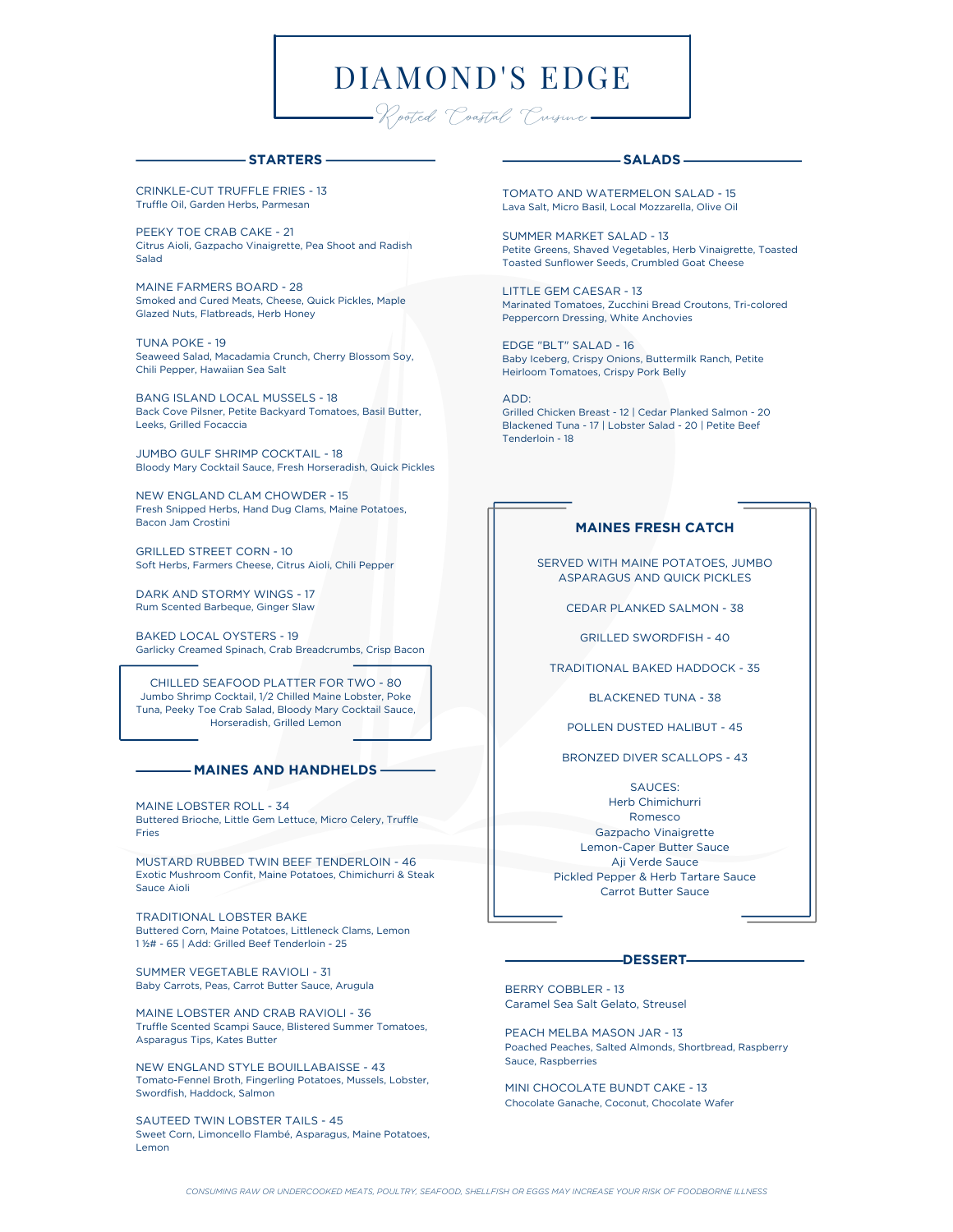# DIAMOND'S EDGE

-Rooted Coastal Crusine-

#### **STARTERS**

CRINKLE-CUT TRUFFLE FRIES - 13 Truffle Oil, Garden Herbs, Parmesan

PEEKY TOE CRAB CAKE - 21 Citrus Aioli, Gazpacho Vinaigrette, Pea Shoot and Radish Salad

MAINE FARMERS BOARD - 28 Smoked and Cured Meats, Cheese, Quick Pickles, Maple Glazed Nuts, Flatbreads, Herb Honey

TUNA POKE - 19 Seaweed Salad, Macadamia Crunch, Cherry Blossom Soy, Chili Pepper, Hawaiian Sea Salt

BANG ISLAND LOCAL MUSSELS - 18 Back Cove Pilsner, Petite Backyard Tomatoes, Basil Butter, Leeks, Grilled Focaccia

JUMBO GULF SHRIMP COCKTAIL - 18 Bloody Mary Cocktail Sauce, Fresh Horseradish, Quick Pickles

NEW ENGLAND CLAM CHOWDER - 15 Fresh Snipped Herbs, Hand Dug Clams, Maine Potatoes, Bacon Jam Crostini

GRILLED STREET CORN - 10 Soft Herbs, Farmers Cheese, Citrus Aioli, Chili Pepper

DARK AND STORMY WINGS - 17 Rum Scented Barbeque, Ginger Slaw

BAKED LOCAL OYSTERS - 19 Garlicky Creamed Spinach, Crab Breadcrumbs, Crisp Bacon

CHILLED SEAFOOD PLATTER FOR TWO - 80 Jumbo Shrimp Cocktail, 1/2 Chilled Maine Lobster, Poke Tuna, Peeky Toe Crab Salad, Bloody Mary Cocktail Sauce, Horseradish, Grilled Lemon

#### **MAINES AND HANDHELDS**

MAINE LOBSTER ROLL - 34 Buttered Brioche, Little Gem Lettuce, Micro Celery, Truffle Fries

MUSTARD RUBBED TWIN BEEF TENDERLOIN - 46 Exotic Mushroom Confit, Maine Potatoes, Chimichurri & Steak Sauce Aioli

TRADITIONAL LOBSTER BAKE Buttered Corn, Maine Potatoes, Littleneck Clams, Lemon 1 ½# - 65 | Add: Grilled Beef Tenderloin - 25

SUMMER VEGETABLE RAVIOLI - 31 Baby Carrots, Peas, Carrot Butter Sauce, Arugula

MAINE LOBSTER AND CRAB RAVIOLI - 36 Truffle Scented Scampi Sauce, Blistered Summer Tomatoes, Asparagus Tips, Kates Butter

NEW ENGLAND STYLE BOUILLABAISSE - 43 Tomato-Fennel Broth, Fingerling Potatoes, Mussels, Lobster, Swordfish, Haddock, Salmon

SAUTEED TWIN LOBSTER TAILS - 45 Sweet Corn, Limoncello Flambé, Asparagus, Maine Potatoes, Lemon

### **SALADS**

TOMATO AND WATERMELON SALAD - 15 Lava Salt, Micro Basil, Local Mozzarella, Olive Oil

SUMMER MARKET SALAD - 13 Petite Greens, Shaved Vegetables, Herb Vinaigrette, Toasted Toasted Sunflower Seeds, Crumbled Goat Cheese

LITTLE GEM CAESAR - 13 Marinated Tomatoes, Zucchini Bread Croutons, Tri-colored Peppercorn Dressing, White Anchovies

EDGE "BLT" SALAD - 16 Baby Iceberg, Crispy Onions, Buttermilk Ranch, Petite Heirloom Tomatoes, Crispy Pork Belly

ADD: Grilled Chicken Breast - 12 | Cedar Planked Salmon - 20 Blackened Tuna - 17 | Lobster Salad - 20 | Petite Beef Tenderloin - 18

## **MAINES FRESH CATCH**

SERVED WITH MAINE POTATOES, JUMBO ASPARAGUS AND QUICK PICKLES

CEDAR PLANKED SALMON - 38

GRILLED SWORDFISH - 40

TRADITIONAL BAKED HADDOCK - 35

BLACKENED TUNA - 38

POLLEN DUSTED HALIBUT - 45

BRONZED DIVER SCALLOPS - 43

SAUCES: Herb Chimichurri Romesco Gazpacho Vinaigrette Lemon-Caper Butter Sauce Aji Verde Sauce Pickled Pepper & Herb Tartare Sauce Carrot Butter Sauce

#### **DESSERT**

BERRY COBBLER - 13 Caramel Sea Salt Gelato, Streusel

PEACH MELBA MASON JAR - 13 Poached Peaches, Salted Almonds, Shortbread, Raspberry Sauce, Raspberries

MINI CHOCOLATE BUNDT CAKE - 13 Chocolate Ganache, Coconut, Chocolate Wafer